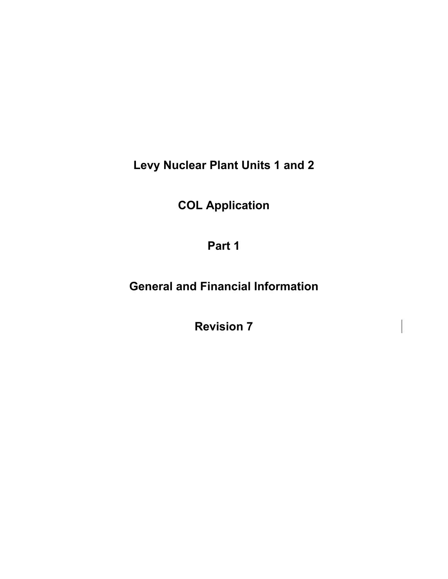**Levy Nuclear Plant Units 1 and 2** 

**COL Application** 

**Part 1** 

**General and Financial Information** 

**Revision 7**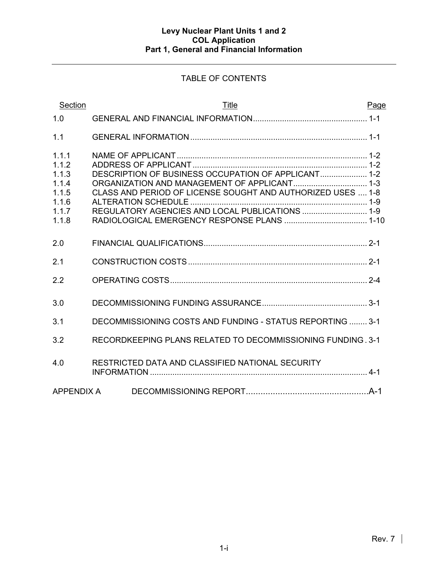# TABLE OF CONTENTS

| Section                                                              | Title                                                                                                                                                                 | Page |
|----------------------------------------------------------------------|-----------------------------------------------------------------------------------------------------------------------------------------------------------------------|------|
| 1.0                                                                  |                                                                                                                                                                       |      |
| 1.1                                                                  |                                                                                                                                                                       |      |
| 1.1.1<br>1.1.2<br>1.1.3<br>1.1.4<br>1.1.5<br>1.1.6<br>1.1.7<br>1.1.8 | DESCRIPTION OF BUSINESS OCCUPATION OF APPLICANT 1-2<br>CLASS AND PERIOD OF LICENSE SOUGHT AND AUTHORIZED USES  1-8<br>REGULATORY AGENCIES AND LOCAL PUBLICATIONS  1-9 |      |
| 2.0                                                                  |                                                                                                                                                                       |      |
| 2.1                                                                  |                                                                                                                                                                       |      |
| 2.2                                                                  |                                                                                                                                                                       |      |
| 3.0                                                                  |                                                                                                                                                                       |      |
| 3.1                                                                  | DECOMMISSIONING COSTS AND FUNDING - STATUS REPORTING  3-1                                                                                                             |      |
| 3.2                                                                  | RECORDKEEPING PLANS RELATED TO DECOMMISSIONING FUNDING, 3-1                                                                                                           |      |
| 4.0                                                                  | RESTRICTED DATA AND CLASSIFIED NATIONAL SECURITY                                                                                                                      |      |
| APPENDIX A                                                           |                                                                                                                                                                       |      |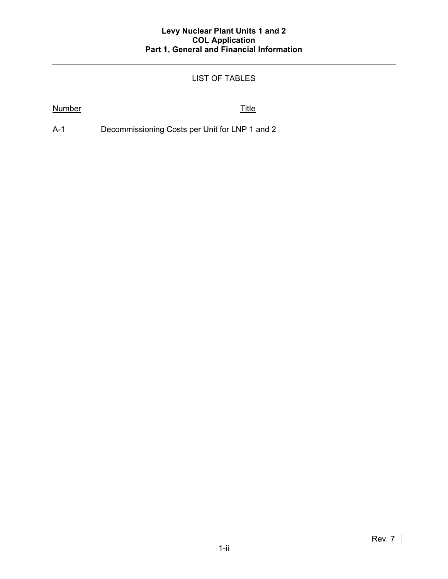# LIST OF TABLES

## Number Title

A-1 Decommissioning Costs per Unit for LNP 1 and 2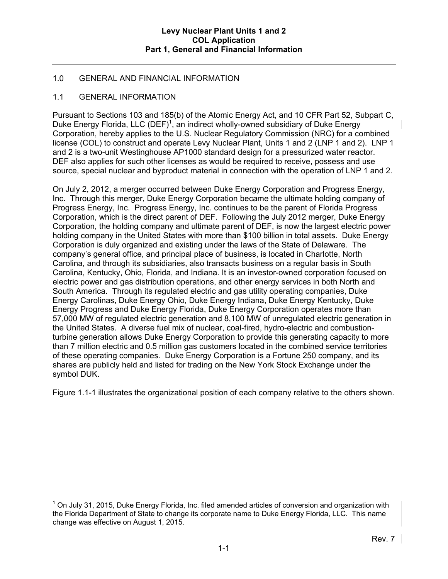# 1.0 GENERAL AND FINANCIAL INFORMATION

## 1.1 GENERAL INFORMATION

Pursuant to Sections 103 and 185(b) of the Atomic Energy Act, and 10 CFR Part 52, Subpart C, Duke Energy Florida, LLC (DEF)<sup>1</sup>, an indirect wholly-owned subsidiary of Duke Energy Corporation, hereby applies to the U.S. Nuclear Regulatory Commission (NRC) for a combined license (COL) to construct and operate Levy Nuclear Plant, Units 1 and 2 (LNP 1 and 2). LNP 1 and 2 is a two-unit Westinghouse AP1000 standard design for a pressurized water reactor. DEF also applies for such other licenses as would be required to receive, possess and use source, special nuclear and byproduct material in connection with the operation of LNP 1 and 2.

On July 2, 2012, a merger occurred between Duke Energy Corporation and Progress Energy, Inc. Through this merger, Duke Energy Corporation became the ultimate holding company of Progress Energy, Inc. Progress Energy, Inc. continues to be the parent of Florida Progress Corporation, which is the direct parent of DEF. Following the July 2012 merger, Duke Energy Corporation, the holding company and ultimate parent of DEF, is now the largest electric power holding company in the United States with more than \$100 billion in total assets. Duke Energy Corporation is duly organized and existing under the laws of the State of Delaware. The company's general office, and principal place of business, is located in Charlotte, North Carolina, and through its subsidiaries, also transacts business on a regular basis in South Carolina, Kentucky, Ohio, Florida, and Indiana. It is an investor-owned corporation focused on electric power and gas distribution operations, and other energy services in both North and South America. Through its regulated electric and gas utility operating companies, Duke Energy Carolinas, Duke Energy Ohio, Duke Energy Indiana, Duke Energy Kentucky, Duke Energy Progress and Duke Energy Florida, Duke Energy Corporation operates more than 57,000 MW of regulated electric generation and 8,100 MW of unregulated electric generation in the United States. A diverse fuel mix of nuclear, coal-fired, hydro-electric and combustionturbine generation allows Duke Energy Corporation to provide this generating capacity to more than 7 million electric and 0.5 million gas customers located in the combined service territories of these operating companies. Duke Energy Corporation is a Fortune 250 company, and its shares are publicly held and listed for trading on the New York Stock Exchange under the symbol DUK.

Figure 1.1-1 illustrates the organizational position of each company relative to the others shown.

 $\overline{a}$  $1$  On July 31, 2015, Duke Energy Florida, Inc. filed amended articles of conversion and organization with the Florida Department of State to change its corporate name to Duke Energy Florida, LLC. This name change was effective on August 1, 2015.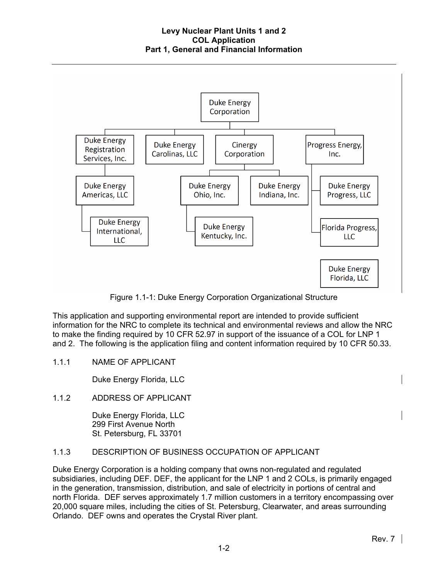

Figure 1.1-1: Duke Energy Corporation Organizational Structure

This application and supporting environmental report are intended to provide sufficient information for the NRC to complete its technical and environmental reviews and allow the NRC to make the finding required by 10 CFR 52.97 in support of the issuance of a COL for LNP 1 and 2. The following is the application filing and content information required by 10 CFR 50.33.

1.1.1 NAME OF APPLICANT

Duke Energy Florida, LLC

1.1.2 ADDRESS OF APPLICANT

Duke Energy Florida, LLC 299 First Avenue North St. Petersburg, FL 33701

# 1.1.3 DESCRIPTION OF BUSINESS OCCUPATION OF APPLICANT

Duke Energy Corporation is a holding company that owns non-regulated and regulated subsidiaries, including DEF. DEF, the applicant for the LNP 1 and 2 COLs, is primarily engaged in the generation, transmission, distribution, and sale of electricity in portions of central and north Florida. DEF serves approximately 1.7 million customers in a territory encompassing over 20,000 square miles, including the cities of St. Petersburg, Clearwater, and areas surrounding Orlando. DEF owns and operates the Crystal River plant.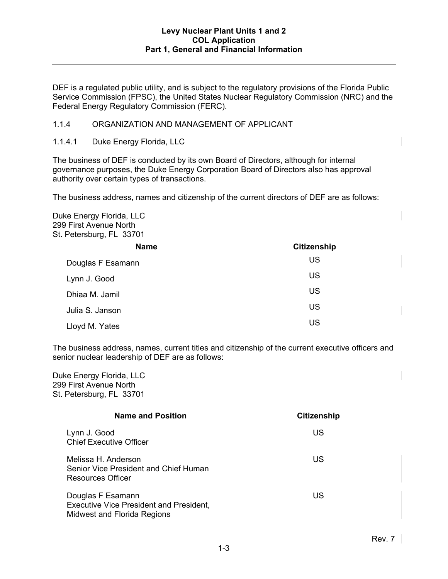DEF is a regulated public utility, and is subject to the regulatory provisions of the Florida Public Service Commission (FPSC), the United States Nuclear Regulatory Commission (NRC) and the Federal Energy Regulatory Commission (FERC).

## 1.1.4 ORGANIZATION AND MANAGEMENT OF APPLICANT

### 1.1.4.1 Duke Energy Florida, LLC

The business of DEF is conducted by its own Board of Directors, although for internal governance purposes, the Duke Energy Corporation Board of Directors also has approval authority over certain types of transactions.

The business address, names and citizenship of the current directors of DEF are as follows:

Duke Energy Florida, LLC 299 First Avenue North St. Petersburg, FL 33701

| <b>Name</b>       | <b>Citizenship</b> |  |  |  |
|-------------------|--------------------|--|--|--|
| Douglas F Esamann | US                 |  |  |  |
| Lynn J. Good      | <b>US</b>          |  |  |  |
| Dhiaa M. Jamil    | <b>US</b>          |  |  |  |
| Julia S. Janson   | <b>US</b>          |  |  |  |
| Lloyd M. Yates    | US                 |  |  |  |

The business address, names, current titles and citizenship of the current executive officers and senior nuclear leadership of DEF are as follows:

Duke Energy Florida, LLC 299 First Avenue North St. Petersburg, FL 33701

| <b>Name and Position</b>                                                                           | <b>Citizenship</b> |
|----------------------------------------------------------------------------------------------------|--------------------|
| Lynn J. Good<br><b>Chief Executive Officer</b>                                                     | US                 |
| Melissa H. Anderson<br>Senior Vice President and Chief Human<br>Resources Officer                  | US                 |
| Douglas F Esamann<br><b>Executive Vice President and President,</b><br>Midwest and Florida Regions | US                 |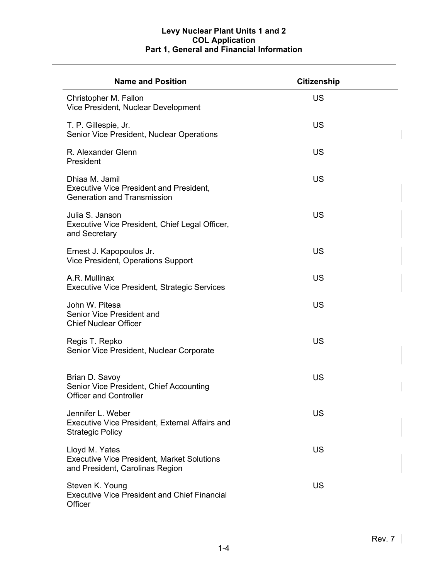| <b>Name and Position</b>                                                                               | <b>Citizenship</b> |
|--------------------------------------------------------------------------------------------------------|--------------------|
| Christopher M. Fallon<br>Vice President, Nuclear Development                                           | US                 |
| T. P. Gillespie, Jr.<br>Senior Vice President, Nuclear Operations                                      | US                 |
| R. Alexander Glenn<br>President                                                                        | US                 |
| Dhiaa M. Jamil<br><b>Executive Vice President and President,</b><br><b>Generation and Transmission</b> | <b>US</b>          |
| Julia S. Janson<br>Executive Vice President, Chief Legal Officer,<br>and Secretary                     | US                 |
| Ernest J. Kapopoulos Jr.<br>Vice President, Operations Support                                         | <b>US</b>          |
| A.R. Mullinax<br><b>Executive Vice President, Strategic Services</b>                                   | US                 |
| John W. Pitesa<br>Senior Vice President and<br><b>Chief Nuclear Officer</b>                            | US                 |
| Regis T. Repko<br>Senior Vice President, Nuclear Corporate                                             | <b>US</b>          |
| Brian D. Savoy<br>Senior Vice President, Chief Accounting<br><b>Officer and Controller</b>             | <b>US</b>          |
| Jennifer L. Weber<br>Executive Vice President, External Affairs and<br><b>Strategic Policy</b>         | US                 |
| Lloyd M. Yates<br><b>Executive Vice President, Market Solutions</b><br>and President, Carolinas Region | US                 |
| Steven K. Young<br><b>Executive Vice President and Chief Financial</b><br>Officer                      | US                 |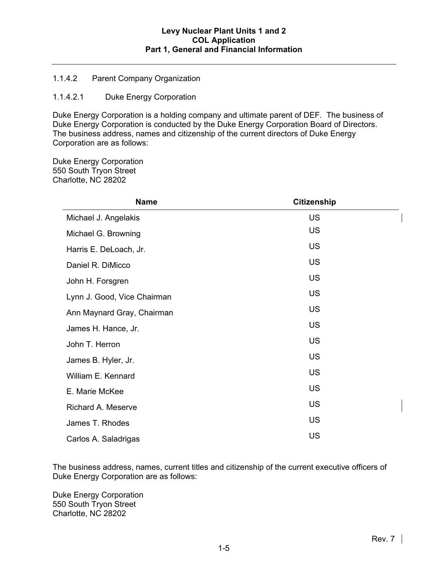## 1.1.4.2 Parent Company Organization

## 1.1.4.2.1 Duke Energy Corporation

Duke Energy Corporation is a holding company and ultimate parent of DEF. The business of Duke Energy Corporation is conducted by the Duke Energy Corporation Board of Directors. The business address, names and citizenship of the current directors of Duke Energy Corporation are as follows:

Duke Energy Corporation 550 South Tryon Street Charlotte, NC 28202

| <b>Name</b>                 | <b>Citizenship</b> |  |  |  |
|-----------------------------|--------------------|--|--|--|
| Michael J. Angelakis        | <b>US</b>          |  |  |  |
| Michael G. Browning         | <b>US</b>          |  |  |  |
| Harris E. DeLoach, Jr.      | <b>US</b>          |  |  |  |
| Daniel R. DiMicco           | <b>US</b>          |  |  |  |
| John H. Forsgren            | <b>US</b>          |  |  |  |
| Lynn J. Good, Vice Chairman | <b>US</b>          |  |  |  |
| Ann Maynard Gray, Chairman  | <b>US</b>          |  |  |  |
| James H. Hance, Jr.         | <b>US</b>          |  |  |  |
| John T. Herron              | <b>US</b>          |  |  |  |
| James B. Hyler, Jr.         | <b>US</b>          |  |  |  |
| William E. Kennard          | <b>US</b>          |  |  |  |
| E. Marie McKee              | <b>US</b>          |  |  |  |
| Richard A. Meserve          | <b>US</b>          |  |  |  |
| James T. Rhodes             | <b>US</b>          |  |  |  |
| Carlos A. Saladrigas        | <b>US</b>          |  |  |  |

The business address, names, current titles and citizenship of the current executive officers of Duke Energy Corporation are as follows:

Duke Energy Corporation 550 South Tryon Street Charlotte, NC 28202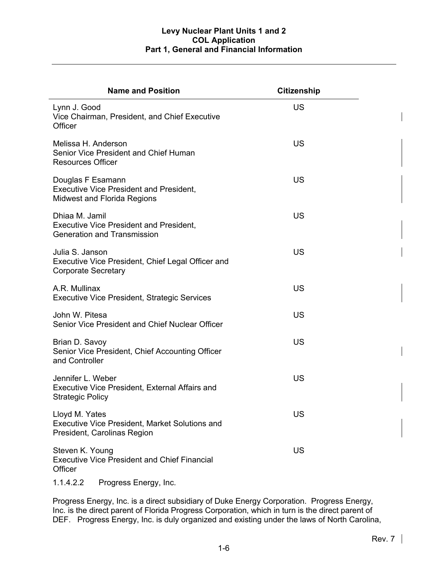| <b>Name and Position</b>                                                                                  | <b>Citizenship</b> |
|-----------------------------------------------------------------------------------------------------------|--------------------|
| Lynn J. Good<br>Vice Chairman, President, and Chief Executive<br>Officer                                  | <b>US</b>          |
| Melissa H. Anderson<br>Senior Vice President and Chief Human<br><b>Resources Officer</b>                  | <b>US</b>          |
| Douglas F Esamann<br><b>Executive Vice President and President,</b><br><b>Midwest and Florida Regions</b> | <b>US</b>          |
| Dhiaa M. Jamil<br><b>Executive Vice President and President,</b><br><b>Generation and Transmission</b>    | <b>US</b>          |
| Julia S. Janson<br>Executive Vice President, Chief Legal Officer and<br><b>Corporate Secretary</b>        | <b>US</b>          |
| A.R. Mullinax<br><b>Executive Vice President, Strategic Services</b>                                      | <b>US</b>          |
| John W. Pitesa<br>Senior Vice President and Chief Nuclear Officer                                         | <b>US</b>          |
| Brian D. Savoy<br>Senior Vice President, Chief Accounting Officer<br>and Controller                       | <b>US</b>          |
| Jennifer L. Weber<br>Executive Vice President, External Affairs and<br><b>Strategic Policy</b>            | <b>US</b>          |
| Lloyd M. Yates<br><b>Executive Vice President, Market Solutions and</b><br>President, Carolinas Region    | <b>US</b>          |
| Steven K. Young<br><b>Executive Vice President and Chief Financial</b><br>Officer                         | <b>US</b>          |

1.1.4.2.2 Progress Energy, Inc.

Progress Energy, Inc. is a direct subsidiary of Duke Energy Corporation. Progress Energy, Inc. is the direct parent of Florida Progress Corporation, which in turn is the direct parent of DEF. Progress Energy, Inc. is duly organized and existing under the laws of North Carolina,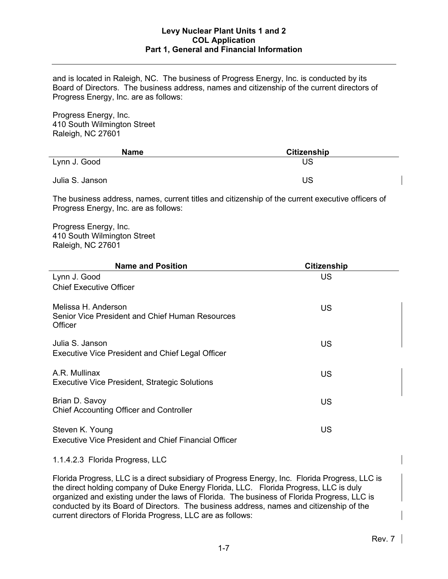and is located in Raleigh, NC. The business of Progress Energy, Inc. is conducted by its Board of Directors. The business address, names and citizenship of the current directors of Progress Energy, Inc. are as follows:

Progress Energy, Inc. 410 South Wilmington Street Raleigh, NC 27601

| <b>Name</b>     | <b>Citizenship</b> |  |
|-----------------|--------------------|--|
| Lynn J. Good    | US                 |  |
| Julia S. Janson | US                 |  |

The business address, names, current titles and citizenship of the current executive officers of Progress Energy, Inc. are as follows:

Progress Energy, Inc. 410 South Wilmington Street Raleigh, NC 27601

| <b>Name and Position</b>                                                          | <b>Citizenship</b> |  |
|-----------------------------------------------------------------------------------|--------------------|--|
| Lynn J. Good                                                                      | US                 |  |
| <b>Chief Executive Officer</b>                                                    |                    |  |
| Melissa H. Anderson<br>Senior Vice President and Chief Human Resources<br>Officer | <b>US</b>          |  |
| Julia S. Janson<br><b>Executive Vice President and Chief Legal Officer</b>        | US                 |  |
| A.R. Mullinax<br>Executive Vice President, Strategic Solutions                    | <b>US</b>          |  |
| Brian D. Savoy<br>Chief Accounting Officer and Controller                         | US                 |  |
| Steven K. Young<br><b>Executive Vice President and Chief Financial Officer</b>    | <b>US</b>          |  |

1.1.4.2.3 Florida Progress, LLC

Florida Progress, LLC is a direct subsidiary of Progress Energy, Inc. Florida Progress, LLC is the direct holding company of Duke Energy Florida, LLC. Florida Progress, LLC is duly organized and existing under the laws of Florida. The business of Florida Progress, LLC is conducted by its Board of Directors. The business address, names and citizenship of the current directors of Florida Progress, LLC are as follows: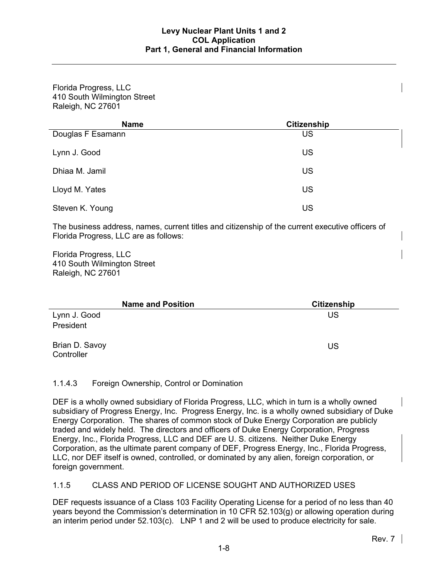Florida Progress, LLC 410 South Wilmington Street Raleigh, NC 27601

| <b>Name</b>       | <b>Citizenship</b> |  |
|-------------------|--------------------|--|
| Douglas F Esamann | <b>US</b>          |  |
| Lynn J. Good      | US                 |  |
| Dhiaa M. Jamil    | <b>US</b>          |  |
| Lloyd M. Yates    | <b>US</b>          |  |
| Steven K. Young   | US                 |  |

The business address, names, current titles and citizenship of the current executive officers of Florida Progress, LLC are as follows:

Florida Progress, LLC 410 South Wilmington Street Raleigh, NC 27601

| <b>Name and Position</b>     | <b>Citizenship</b> |
|------------------------------|--------------------|
| Lynn J. Good                 | US                 |
| President                    |                    |
| Brian D. Savoy<br>Controller | US                 |

## 1.1.4.3 Foreign Ownership, Control or Domination

DEF is a wholly owned subsidiary of Florida Progress, LLC, which in turn is a wholly owned subsidiary of Progress Energy, Inc. Progress Energy, Inc. is a wholly owned subsidiary of Duke Energy Corporation. The shares of common stock of Duke Energy Corporation are publicly traded and widely held. The directors and officers of Duke Energy Corporation, Progress Energy, Inc., Florida Progress, LLC and DEF are U. S. citizens. Neither Duke Energy Corporation, as the ultimate parent company of DEF, Progress Energy, Inc., Florida Progress, LLC, nor DEF itself is owned, controlled, or dominated by any alien, foreign corporation, or foreign government.

## 1.1.5 CLASS AND PERIOD OF LICENSE SOUGHT AND AUTHORIZED USES

DEF requests issuance of a Class 103 Facility Operating License for a period of no less than 40 years beyond the Commission's determination in 10 CFR 52.103(g) or allowing operation during an interim period under 52.103(c). LNP 1 and 2 will be used to produce electricity for sale.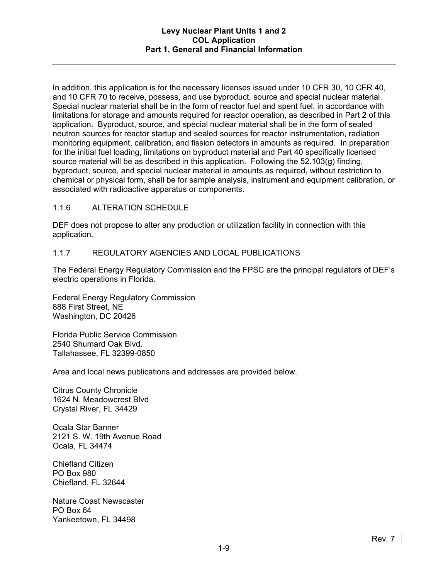In addition, this application is for the necessary licenses issued under 10 CFR 30, 10 CFR 40, and 10 CFR 70 to receive, possess, and use byproduct, source and special nuclear material. Special nuclear material shall be in the form of reactor fuel and spent fuel, in accordance with limitations for storage and amounts required for reactor operation, as described in Part 2 of this application. Byproduct, source, and special nuclear material shall be in the form of sealed neutron sources for reactor startup and sealed sources for reactor instrumentation, radiation monitoring equipment, calibration, and fission detectors in amounts as required. In preparation for the initial fuel loading, limitations on byproduct material and Part 40 specifically licensed source material will be as described in this application. Following the 52.103(g) finding, byproduct, source, and special nuclear material in amounts as required, without restriction to chemical or physical form, shall be for sample analysis, instrument and equipment calibration, or associated with radioactive apparatus or components.

## 1.1.6 ALTERATION SCHEDULE

DEF does not propose to alter any production or utilization facility in connection with this application.

## 1.1.7 REGULATORY AGENCIES AND LOCAL PUBLICATIONS

The Federal Energy Regulatory Commission and the FPSC are the principal regulators of DEF's electric operations in Florida.

Federal Energy Regulatory Commission 888 First Street, NE Washington, DC 20426

Florida Public Service Commission 2540 Shumard Oak Blvd. Tallahassee, FL 32399-0850

Area and local news publications and addresses are provided below.

Citrus County Chronicle 1624 N. Meadowcrest Blvd Crystal River, FL 34429

Ocala Star Banner 2121 S. W. 19th Avenue Road Ocala, FL 34474

Chiefland Citizen PO Box 980 Chiefland, FL 32644

Nature Coast Newscaster PO Box 64 Yankeetown, FL 34498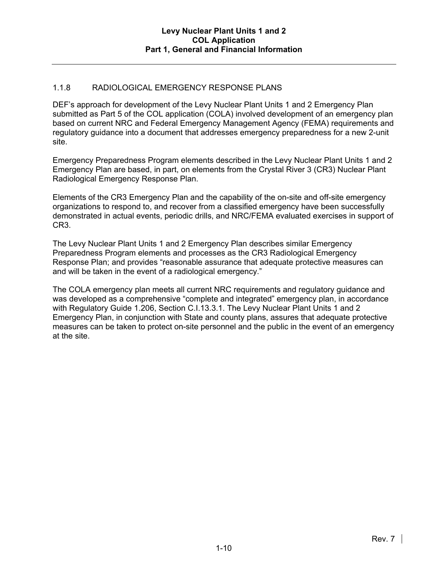# 1.1.8 RADIOLOGICAL EMERGENCY RESPONSE PLANS

DEF's approach for development of the Levy Nuclear Plant Units 1 and 2 Emergency Plan submitted as Part 5 of the COL application (COLA) involved development of an emergency plan based on current NRC and Federal Emergency Management Agency (FEMA) requirements and regulatory guidance into a document that addresses emergency preparedness for a new 2-unit site.

Emergency Preparedness Program elements described in the Levy Nuclear Plant Units 1 and 2 Emergency Plan are based, in part, on elements from the Crystal River 3 (CR3) Nuclear Plant Radiological Emergency Response Plan.

Elements of the CR3 Emergency Plan and the capability of the on-site and off-site emergency organizations to respond to, and recover from a classified emergency have been successfully demonstrated in actual events, periodic drills, and NRC/FEMA evaluated exercises in support of CR3.

The Levy Nuclear Plant Units 1 and 2 Emergency Plan describes similar Emergency Preparedness Program elements and processes as the CR3 Radiological Emergency Response Plan; and provides "reasonable assurance that adequate protective measures can and will be taken in the event of a radiological emergency."

The COLA emergency plan meets all current NRC requirements and regulatory guidance and was developed as a comprehensive "complete and integrated" emergency plan, in accordance with Regulatory Guide 1.206, Section C.I.13.3.1. The Levy Nuclear Plant Units 1 and 2 Emergency Plan, in conjunction with State and county plans, assures that adequate protective measures can be taken to protect on-site personnel and the public in the event of an emergency at the site.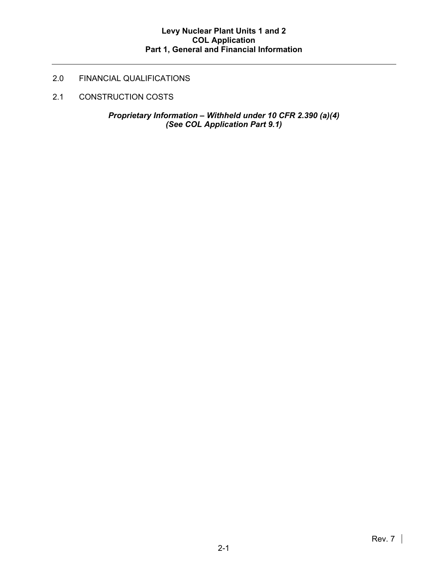# 2.0 FINANCIAL QUALIFICATIONS

2.1 CONSTRUCTION COSTS

*Proprietary Information – Withheld under 10 CFR 2.390 (a)(4) (See COL Application Part 9.1)*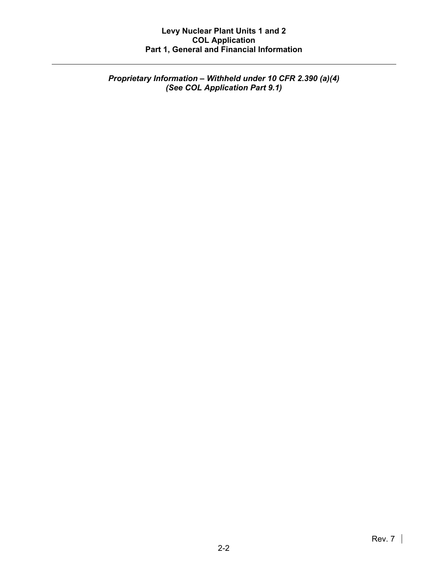*Proprietary Information – Withheld under 10 CFR 2.390 (a)(4) (See COL Application Part 9.1)*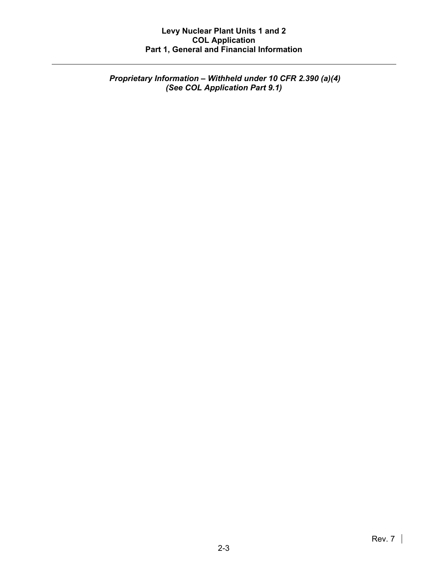*Proprietary Information – Withheld under 10 CFR 2.390 (a)(4) (See COL Application Part 9.1)*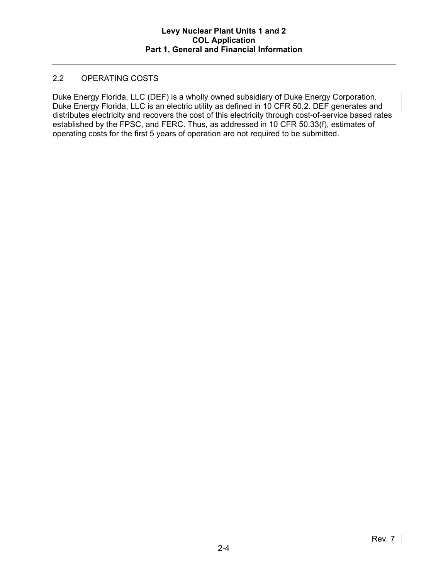## 2.2 OPERATING COSTS

Duke Energy Florida, LLC (DEF) is a wholly owned subsidiary of Duke Energy Corporation. Duke Energy Florida, LLC is an electric utility as defined in 10 CFR 50.2. DEF generates and distributes electricity and recovers the cost of this electricity through cost-of-service based rates established by the FPSC, and FERC. Thus, as addressed in 10 CFR 50.33(f), estimates of operating costs for the first 5 years of operation are not required to be submitted.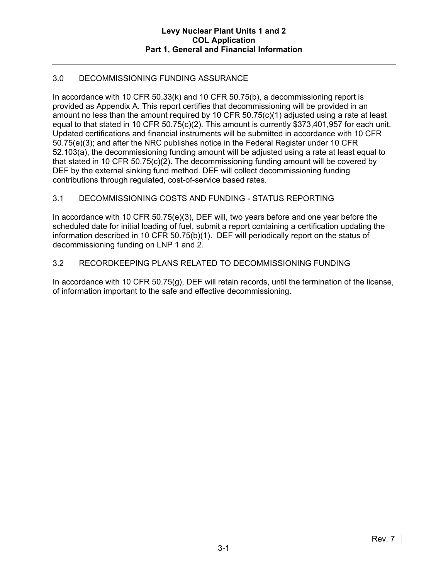# 3.0 DECOMMISSIONING FUNDING ASSURANCE

In accordance with 10 CFR 50.33(k) and 10 CFR 50.75(b), a decommissioning report is provided as Appendix A. This report certifies that decommissioning will be provided in an amount no less than the amount required by 10 CFR 50.75(c)(1) adjusted using a rate at least equal to that stated in 10 CFR 50.75(c)(2). This amount is currently \$373,401,957 for each unit. Updated certifications and financial instruments will be submitted in accordance with 10 CFR 50.75(e)(3); and after the NRC publishes notice in the Federal Register under 10 CFR 52.103(a), the decommissioning funding amount will be adjusted using a rate at least equal to that stated in 10 CFR 50.75(c)(2). The decommissioning funding amount will be covered by DEF by the external sinking fund method. DEF will collect decommissioning funding contributions through regulated, cost-of-service based rates.

# 3.1 DECOMMISSIONING COSTS AND FUNDING - STATUS REPORTING

In accordance with 10 CFR 50.75(e)(3), DEF will, two years before and one year before the scheduled date for initial loading of fuel, submit a report containing a certification updating the information described in 10 CFR 50.75(b)(1). DEF will periodically report on the status of decommissioning funding on LNP 1 and 2.

## 3.2 RECORDKEEPING PLANS RELATED TO DECOMMISSIONING FUNDING

In accordance with 10 CFR 50.75(g), DEF will retain records, until the termination of the license, of information important to the safe and effective decommissioning.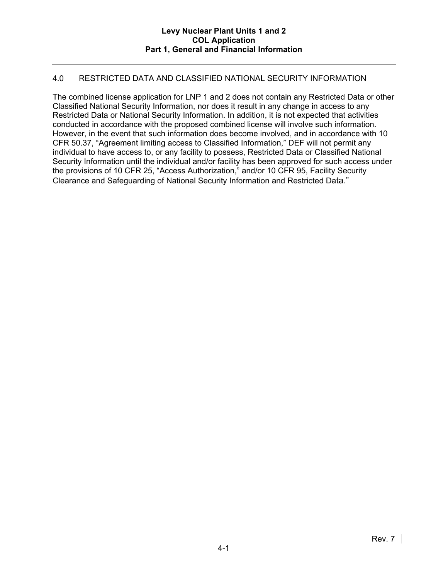## 4.0 RESTRICTED DATA AND CLASSIFIED NATIONAL SECURITY INFORMATION

The combined license application for LNP 1 and 2 does not contain any Restricted Data or other Classified National Security Information, nor does it result in any change in access to any Restricted Data or National Security Information. In addition, it is not expected that activities conducted in accordance with the proposed combined license will involve such information. However, in the event that such information does become involved, and in accordance with 10 CFR 50.37, "Agreement limiting access to Classified Information," DEF will not permit any individual to have access to, or any facility to possess, Restricted Data or Classified National Security Information until the individual and/or facility has been approved for such access under the provisions of 10 CFR 25, "Access Authorization," and/or 10 CFR 95, Facility Security Clearance and Safeguarding of National Security Information and Restricted Data."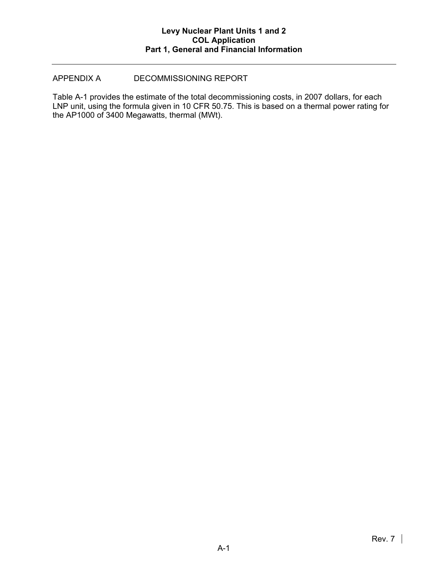## APPENDIX A DECOMMISSIONING REPORT

Table A-1 provides the estimate of the total decommissioning costs, in 2007 dollars, for each LNP unit, using the formula given in 10 CFR 50.75. This is based on a thermal power rating for the AP1000 of 3400 Megawatts, thermal (MWt).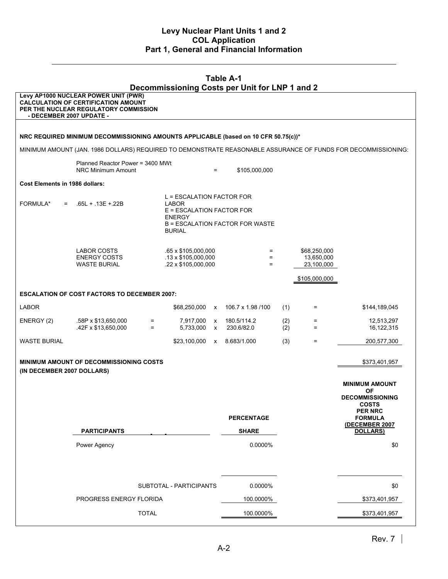| <b>Table A-1</b><br>Decommissioning Costs per Unit for LNP 1 and 2 |                                                                                                                             |              |                                                                                                   |                   |                                        |            |                                          |                                        |
|--------------------------------------------------------------------|-----------------------------------------------------------------------------------------------------------------------------|--------------|---------------------------------------------------------------------------------------------------|-------------------|----------------------------------------|------------|------------------------------------------|----------------------------------------|
| - DECEMBER 2007 UPDATE -                                           | Levy AP1000 NUCLEAR POWER UNIT (PWR)<br><b>CALCULATION OF CERTIFICATION AMOUNT</b><br>PER THE NUCLEAR REGULATORY COMMISSION |              |                                                                                                   |                   |                                        |            |                                          |                                        |
|                                                                    |                                                                                                                             |              |                                                                                                   |                   |                                        |            |                                          |                                        |
|                                                                    | NRC REQUIRED MINIMUM DECOMMISSIONING AMOUNTS APPLICABLE (based on 10 CFR 50.75(c))*                                         |              |                                                                                                   |                   |                                        |            |                                          |                                        |
|                                                                    | MINIMUM AMOUNT (JAN. 1986 DOLLARS) REQUIRED TO DEMONSTRATE REASONABLE ASSURANCE OF FUNDS FOR DECOMMISSIONING:               |              |                                                                                                   |                   |                                        |            |                                          |                                        |
|                                                                    | Planned Reactor Power = 3400 MWt<br>NRC Minimum Amount                                                                      |              |                                                                                                   | $=$               | \$105,000,000                          |            |                                          |                                        |
| Cost Elements in 1986 dollars:                                     |                                                                                                                             |              |                                                                                                   |                   |                                        |            |                                          |                                        |
| FORMULA*<br>$=$                                                    | $.65L + .13E + .22B$                                                                                                        |              | L = ESCALATION FACTOR FOR<br>LABOR<br>E = ESCALATION FACTOR FOR<br><b>ENERGY</b><br><b>BURIAL</b> |                   | <b>B = ESCALATION FACTOR FOR WASTE</b> |            |                                          |                                        |
|                                                                    | LABOR COSTS<br><b>ENERGY COSTS</b><br><b>WASTE BURIAL</b>                                                                   |              | .65 x \$105,000,000<br>$.13 \times $105,000,000$<br>.22 x \$105,000,000                           |                   | $=$<br>$=$<br>$=$                      |            | \$68,250,000<br>13,650,000<br>23,100,000 |                                        |
|                                                                    |                                                                                                                             |              |                                                                                                   |                   |                                        |            | \$105,000,000                            |                                        |
|                                                                    | <b>ESCALATION OF COST FACTORS TO DECEMBER 2007:</b>                                                                         |              |                                                                                                   |                   |                                        |            |                                          |                                        |
| <b>LABOR</b>                                                       |                                                                                                                             |              | \$68,250,000 x                                                                                    |                   | 106.7 x 1.98 /100                      | (1)        | Ξ.                                       | \$144,189,045                          |
| ENERGY (2)                                                         | .58P x \$13,650,000<br>.42F x \$13,650,000                                                                                  | $=$<br>$=$   | 7,917,000<br>5,733,000                                                                            | X<br>$\mathsf{x}$ | 180.5/114.2<br>230.6/82.0              | (2)<br>(2) | $=$<br>$=$                               | 12,513,297<br>16,122,315               |
| <b>WASTE BURIAL</b>                                                |                                                                                                                             |              | \$23,100,000 x 8.683/1.000                                                                        |                   |                                        | (3)        | $=$                                      | 200,577,300                            |
| (IN DECEMBER 2007 DOLLARS)                                         | <b>MINIMUM AMOUNT OF DECOMMISSIONING COSTS</b>                                                                              |              |                                                                                                   |                   |                                        |            |                                          | \$373,401,957                          |
|                                                                    |                                                                                                                             |              |                                                                                                   |                   |                                        |            |                                          | <b>MINIMUM AMOUNT</b><br><b>OF</b>     |
|                                                                    |                                                                                                                             |              |                                                                                                   |                   |                                        |            |                                          | <b>DECOMMISSIONING</b><br><b>COSTS</b> |
|                                                                    |                                                                                                                             |              |                                                                                                   |                   | <b>PERCENTAGE</b>                      |            |                                          | <b>PER NRC</b><br><b>FORMULA</b>       |
|                                                                    | <b>PARTICIPANTS</b>                                                                                                         |              |                                                                                                   |                   | <b>SHARE</b>                           |            |                                          | (DECEMBER 2007<br><b>DOLLARS)</b>      |
|                                                                    | Power Agency                                                                                                                |              |                                                                                                   |                   | 0.0000%                                |            |                                          | \$0                                    |
|                                                                    |                                                                                                                             |              | SUBTOTAL - PARTICIPANTS                                                                           |                   | 0.0000%                                |            |                                          | \$0                                    |
|                                                                    | PROGRESS ENERGY FLORIDA                                                                                                     |              |                                                                                                   |                   | 100.0000%                              |            |                                          | \$373,401,957                          |
|                                                                    |                                                                                                                             | <b>TOTAL</b> |                                                                                                   |                   | 100.0000%                              |            |                                          | \$373,401,957                          |